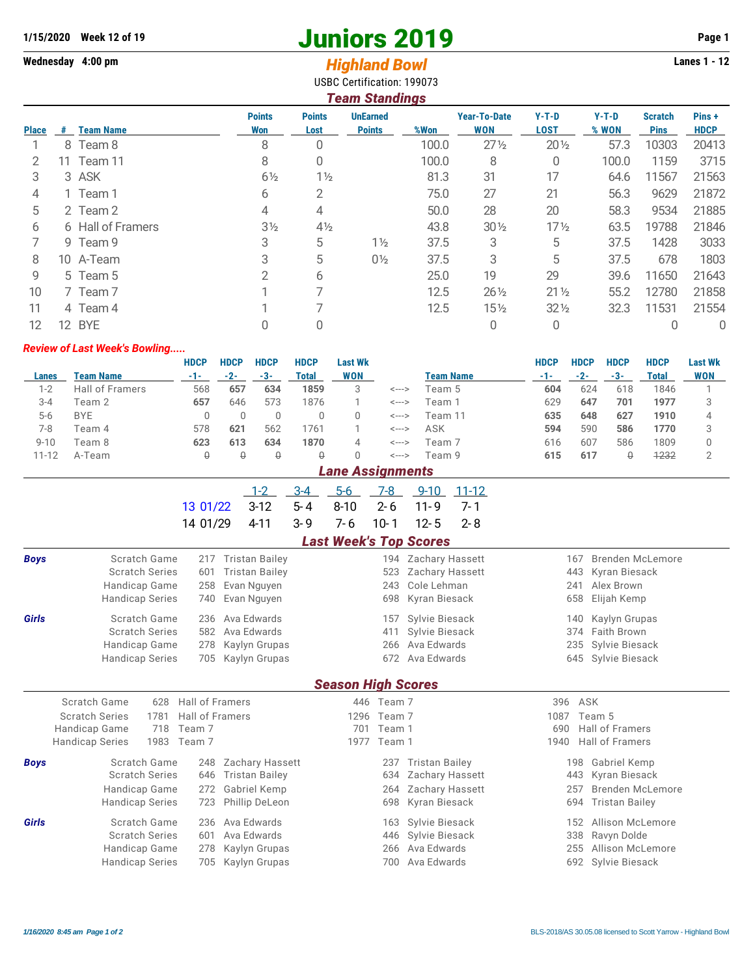# **1/15/2020** Week 12 of 19<br> **1/15/2020** Week 12 of 19<br> **1/15/2020** Week 12 of 19<br> **1/16/19 Orgenum**<br> **1/16/19 Orgenum**<br> **1/16/19 Orgenum**<br> **1/16/19 Orgenum**<br> **1/16/19 Orgenum**<br> **1/16/19 Orgenum**<br> **1/16/19 Orgenum**<br> **1/16/19**

# **Wednesday 4:00 pm** *Highland Bowl*

| ---- <del>--------</del> -----    |  |
|-----------------------------------|--|
| <b>USBC Certification: 199073</b> |  |

|              | <b>Team Standings</b> |                   |                      |                       |                                  |       |                            |                        |                  |                               |                      |  |
|--------------|-----------------------|-------------------|----------------------|-----------------------|----------------------------------|-------|----------------------------|------------------------|------------------|-------------------------------|----------------------|--|
| <b>Place</b> | #                     | <b>Team Name</b>  | <b>Points</b><br>Won | <b>Points</b><br>Lost | <b>UnEarned</b><br><b>Points</b> | %Won  | <b>Year-To-Date</b><br>WON | $Y-T-D$<br><b>LOST</b> | $Y-T-D$<br>% WON | <b>Scratch</b><br><b>Pins</b> | Pins+<br><b>HDCP</b> |  |
|              |                       | 8 Team 8          | 8                    | 0                     |                                  | 100.0 | $27\frac{1}{2}$            | $20\frac{1}{2}$        | 57.3             | 10303                         | 20413                |  |
|              | 11.                   | Team 11           | 8                    | 0                     |                                  | 100.0 | 8                          | 0                      | 100.0            | 1159                          | 3715                 |  |
| 3            |                       | 3 ASK             | $6\frac{1}{2}$       | $1\frac{1}{2}$        |                                  | 81.3  | 31                         | 17                     | 64.6             | 11567                         | 21563                |  |
| 4            |                       | 1 Team 1          | 6                    | 2                     |                                  | 75.0  | 27                         | 21                     | 56.3             | 9629                          | 21872                |  |
| 5            |                       | 2 Team 2          | 4                    | 4                     |                                  | 50.0  | 28                         | 20                     | 58.3             | 9534                          | 21885                |  |
| 6            |                       | 6 Hall of Framers | $3\frac{1}{2}$       | $4\frac{1}{2}$        |                                  | 43.8  | $30\frac{1}{2}$            | $17\frac{1}{2}$        | 63.5             | 19788                         | 21846                |  |
|              |                       | 9 Team 9          | 3                    | 5                     | $1\frac{1}{2}$                   | 37.5  | 3                          | 5                      | 37.5             | 1428                          | 3033                 |  |
| 8            |                       | 10 A-Team         | 3                    | 5                     | $0\frac{1}{2}$                   | 37.5  | 3                          | 5                      | 37.5             | 678                           | 1803                 |  |
| 9            |                       | 5 Team 5          | 2                    | 6                     |                                  | 25.0  | 19                         | 29                     | 39.6             | 11650                         | 21643                |  |
| 10           |                       | 7 Team 7          |                      |                       |                                  | 12.5  | $26\frac{1}{2}$            | $21\frac{1}{2}$        | 55.2             | 12780                         | 21858                |  |
| 11           |                       | 4 Team 4          |                      |                       |                                  | 12.5  | $15\frac{1}{2}$            | $32\frac{1}{2}$        | 32.3             | 11531                         | 21554                |  |
| 12           | 12                    | <b>BYE</b>        |                      | 0                     |                                  |       | 0                          | 0                      |                  |                               | 0                    |  |

#### *Review of Last Week's Bowling.....*

|           |                        | <b>HDCP</b> | <b>HDCP</b> | <b>HDCP</b> | <b>HDCP</b> | <b>Last Wk</b> |       |                  | <b>HDCP</b> | <b>HDCP</b> | <b>HDCP</b> | <b>HDCP</b> | <b>Last Wk</b> |
|-----------|------------------------|-------------|-------------|-------------|-------------|----------------|-------|------------------|-------------|-------------|-------------|-------------|----------------|
| Lanes     | Team Name              | $-1-$       | $-2-$       | -3-         | Total       | <b>WON</b>     |       | <b>Team Name</b> | -1-         | $-2-$       | $-3-$       | Total       | <b>WON</b>     |
| $1 - 2$   | <b>Hall of Framers</b> | 568         | 657         | 634         | 1859        | 3              | <---> | Team 5           | 604         | 624         | 618         | 1846        |                |
| $3 - 4$   | Team 2                 | 657         | 646         | 573         | 1876        |                | <---> | Team 1           | 629         | 647         | 701         | 1977        |                |
| $5-6$     | <b>BYE</b>             |             |             |             |             |                | <---> | Team 11          | 635         | 648         | 627         | 1910        |                |
| 7-8       | Team 4                 | 578         | 621         | 562         | 1761        |                | <---> | ASK              | 594         | 590         | 586         | 1770        |                |
| $9 - 10$  | Team 8                 | 623         | 613         | 634         | 1870        | 4              | <---> | Team 7           | 616         | 607         | 586         | 1809        |                |
| $11 - 12$ | A-Team                 | ₩           | ₿           | ₿           | ₩           |                | <---> | Team 9           | 615         | 617         | ₽           | 1232        |                |
|           |                        |             |             |             |             |                |       |                  |             |             |             |             |                |

*Lane Assignments*

|                                                   |  |  | 1-2 3-4 5-6 7-8 9-10 11-12 |  |
|---------------------------------------------------|--|--|----------------------------|--|
| $13.01/22$ $3-12$ $5-4$ $8-10$ $2-6$ $11-9$ $7-1$ |  |  |                            |  |
| 14 01/29 4-11 3-9 7-6 10-1 12-5 2-8               |  |  |                            |  |

### *Last Week's Top Scores*

| <b>Boys</b>               | Scratch Game<br><b>Scratch Series</b><br>Handicap Game<br><b>Handicap Series</b>                               | <b>Tristan Bailey</b><br>217<br><b>Tristan Bailey</b><br>601<br>Evan Nguyen<br>258<br>Evan Nguyen<br>740      | 523<br>243<br>698                                            | 194 Zachary Hassett<br>Zachary Hassett<br>Cole Lehman<br>Kyran Biesack           | <b>Brenden McLemore</b><br>167<br>443<br>Kyran Biesack<br>Alex Brown<br>241<br>Elijah Kemp<br>658      |  |  |  |  |  |  |
|---------------------------|----------------------------------------------------------------------------------------------------------------|---------------------------------------------------------------------------------------------------------------|--------------------------------------------------------------|----------------------------------------------------------------------------------|--------------------------------------------------------------------------------------------------------|--|--|--|--|--|--|
| Girls                     | Scratch Game<br><b>Scratch Series</b><br>Handicap Game<br><b>Handicap Series</b>                               | Ava Edwards<br>236<br>Ava Edwards<br>582<br>278<br>Kaylyn Grupas<br>705<br>Kaylyn Grupas                      | 157<br>411<br>266<br>672                                     | Sylvie Biesack<br>Sylvie Biesack<br>Ava Edwards<br>Ava Edwards                   | Kaylyn Grupas<br>140<br>Faith Brown<br>374<br>Sylvie Biesack<br>235<br>Sylvie Biesack<br>645           |  |  |  |  |  |  |
| <b>Season High Scores</b> |                                                                                                                |                                                                                                               |                                                              |                                                                                  |                                                                                                        |  |  |  |  |  |  |
|                           | Scratch Game<br>628<br><b>Scratch Series</b><br>1781<br>Handicap Game<br>718<br><b>Handicap Series</b><br>1983 | <b>Hall of Framers</b><br><b>Hall of Framers</b><br>Team 7<br>Team 7                                          | 446 Team 7<br>1296<br>Team 7<br>701<br>Team 1<br>1977 Team 1 | 396<br>1087<br>690<br>1940                                                       | ASK<br>Team 5<br><b>Hall of Framers</b><br><b>Hall of Framers</b>                                      |  |  |  |  |  |  |
| <b>Boys</b>               | Scratch Game<br><b>Scratch Series</b><br>Handicap Game<br><b>Handicap Series</b>                               | <b>Zachary Hassett</b><br>248<br><b>Tristan Bailey</b><br>646<br>Gabriel Kemp<br>272<br>Phillip DeLeon<br>723 | 237<br>634<br>264                                            | <b>Tristan Bailey</b><br>Zachary Hassett<br>Zachary Hassett<br>698 Kyran Biesack | Gabriel Kemp<br>198<br>Kyran Biesack<br>443<br>Brenden McLemore<br>257<br>694<br><b>Tristan Bailey</b> |  |  |  |  |  |  |
| <b>Girls</b>              | Scratch Game<br><b>Scratch Series</b><br>Handicap Game<br><b>Handicap Series</b>                               | Ava Edwards<br>236<br>Ava Edwards<br>601<br>278<br>Kaylyn Grupas<br>Kaylyn Grupas<br>705                      | 446<br>266<br>700                                            | 163 Sylvie Biesack<br>Sylvie Biesack<br>Ava Edwards<br>Ava Edwards               | Allison McLemore<br>152<br>Ravyn Dolde<br>338<br>Allison McLemore<br>255<br>Sylvie Biesack<br>692      |  |  |  |  |  |  |